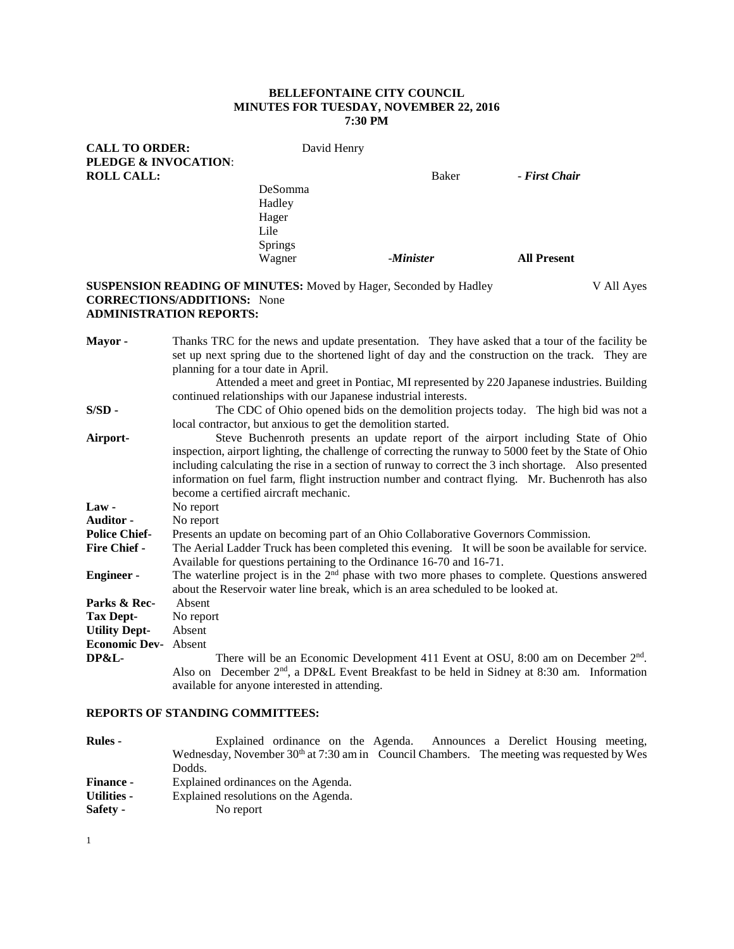# **BELLEFONTAINE CITY COUNCIL MINUTES FOR TUESDAY, NOVEMBER 22, 2016 7:30 PM**

| <b>CALL TO ORDER:</b><br><b>PLEDGE &amp; INVOCATION:</b> | David Henry                        |           |                    |
|----------------------------------------------------------|------------------------------------|-----------|--------------------|
| <b>ROLL CALL:</b>                                        |                                    | Baker     | - First Chair      |
|                                                          | DeSomma<br>Hadley<br>Hager<br>Lile |           |                    |
|                                                          | <b>Springs</b><br>Wagner           | -Minister | <b>All Present</b> |

# **SUSPENSION READING OF MINUTES:** Moved by Hager, Seconded by Hadley V All Ayes **CORRECTIONS/ADDITIONS:** None **ADMINISTRATION REPORTS:**

| Mayor-               | Thanks TRC for the news and update presentation. They have asked that a tour of the facility be                                                         |  |  |  |  |  |
|----------------------|---------------------------------------------------------------------------------------------------------------------------------------------------------|--|--|--|--|--|
|                      | set up next spring due to the shortened light of day and the construction on the track. They are                                                        |  |  |  |  |  |
|                      | planning for a tour date in April.                                                                                                                      |  |  |  |  |  |
|                      | Attended a meet and greet in Pontiac, MI represented by 220 Japanese industries. Building                                                               |  |  |  |  |  |
|                      | continued relationships with our Japanese industrial interests.                                                                                         |  |  |  |  |  |
| $S/SD -$             | The CDC of Ohio opened bids on the demolition projects today. The high bid was not a                                                                    |  |  |  |  |  |
|                      | local contractor, but anxious to get the demolition started.                                                                                            |  |  |  |  |  |
| Airport-             | Steve Buchenroth presents an update report of the airport including State of Ohio                                                                       |  |  |  |  |  |
|                      | inspection, airport lighting, the challenge of correcting the runway to 5000 feet by the State of Ohio                                                  |  |  |  |  |  |
|                      | including calculating the rise in a section of runway to correct the 3 inch shortage. Also presented                                                    |  |  |  |  |  |
|                      | information on fuel farm, flight instruction number and contract flying. Mr. Buchenroth has also                                                        |  |  |  |  |  |
|                      | become a certified aircraft mechanic.                                                                                                                   |  |  |  |  |  |
| Law-                 | No report                                                                                                                                               |  |  |  |  |  |
| <b>Auditor -</b>     | No report                                                                                                                                               |  |  |  |  |  |
| <b>Police Chief-</b> | Presents an update on becoming part of an Ohio Collaborative Governors Commission.                                                                      |  |  |  |  |  |
| <b>Fire Chief -</b>  | The Aerial Ladder Truck has been completed this evening. It will be soon be available for service.                                                      |  |  |  |  |  |
|                      | Available for questions pertaining to the Ordinance 16-70 and 16-71.                                                                                    |  |  |  |  |  |
| <b>Engineer-</b>     | The waterline project is in the 2 <sup>nd</sup> phase with two more phases to complete. Questions answered                                              |  |  |  |  |  |
|                      | about the Reservoir water line break, which is an area scheduled to be looked at.                                                                       |  |  |  |  |  |
| Parks & Rec-         | Absent                                                                                                                                                  |  |  |  |  |  |
| <b>Tax Dept-</b>     | No report                                                                                                                                               |  |  |  |  |  |
| <b>Utility Dept-</b> | Absent                                                                                                                                                  |  |  |  |  |  |
| <b>Economic Dev-</b> | Absent                                                                                                                                                  |  |  |  |  |  |
| <b>DP&amp;L-</b>     | There will be an Economic Development 411 Event at OSU, 8:00 am on December $2nd$ .                                                                     |  |  |  |  |  |
|                      | Also on December 2 <sup>nd</sup> , a DP&L Event Breakfast to be held in Sidney at 8:30 am. Information<br>available for anyone interested in attending. |  |  |  |  |  |

# **REPORTS OF STANDING COMMITTEES:**

| <b>Rules</b> -     | Explained ordinance on the Agenda. Announces a Derelict Housing meeting,                    |  |  |
|--------------------|---------------------------------------------------------------------------------------------|--|--|
|                    | Wednesday, November $30th$ at 7:30 am in Council Chambers. The meeting was requested by Wes |  |  |
|                    | Dodds.                                                                                      |  |  |
| <b>Finance -</b>   | Explained ordinances on the Agenda.                                                         |  |  |
| <b>Utilities -</b> | Explained resolutions on the Agenda.                                                        |  |  |
| Safety -           | No report                                                                                   |  |  |

1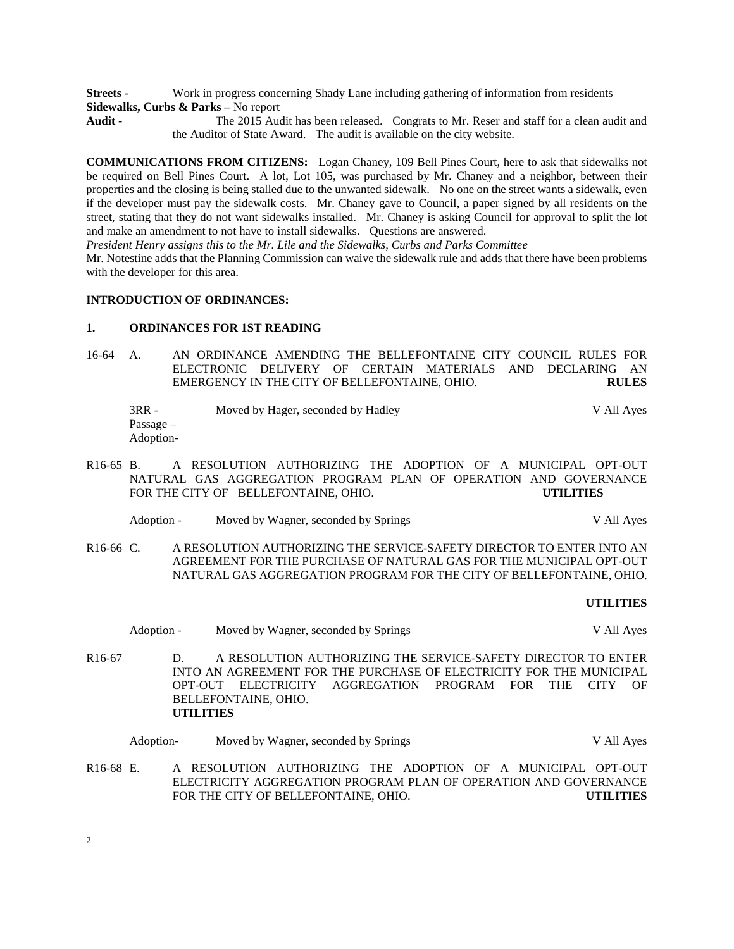**Streets -** Work in progress concerning Shady Lane including gathering of information from residents **Sidewalks, Curbs & Parks –** No report

**Audit -** The 2015 Audit has been released. Congrats to Mr. Reser and staff for a clean audit and the Auditor of State Award. The audit is available on the city website.

**COMMUNICATIONS FROM CITIZENS:** Logan Chaney, 109 Bell Pines Court, here to ask that sidewalks not be required on Bell Pines Court. A lot, Lot 105, was purchased by Mr. Chaney and a neighbor, between their properties and the closing is being stalled due to the unwanted sidewalk. No one on the street wants a sidewalk, even if the developer must pay the sidewalk costs. Mr. Chaney gave to Council, a paper signed by all residents on the street, stating that they do not want sidewalks installed. Mr. Chaney is asking Council for approval to split the lot and make an amendment to not have to install sidewalks. Questions are answered.

*President Henry assigns this to the Mr. Lile and the Sidewalks, Curbs and Parks Committee*

Mr. Notestine adds that the Planning Commission can waive the sidewalk rule and adds that there have been problems with the developer for this area.

# **INTRODUCTION OF ORDINANCES:**

### **1. ORDINANCES FOR 1ST READING**

- 16-64 A. AN ORDINANCE AMENDING THE BELLEFONTAINE CITY COUNCIL RULES FOR ELECTRONIC DELIVERY OF CERTAIN MATERIALS AND DECLARING AN EMERGENCY IN THE CITY OF BELLEFONTAINE, OHIO. **RULES**
	- 3RR Moved by Hager, seconded by Hadley V All Ayes Passage – Adoption-
- R16-65 B. A RESOLUTION AUTHORIZING THE ADOPTION OF A MUNICIPAL OPT-OUT NATURAL GAS AGGREGATION PROGRAM PLAN OF OPERATION AND GOVERNANCE FOR THE CITY OF BELLEFONTAINE, OHIO. **UTILITIES**
	- Adoption Moved by Wagner, seconded by Springs V All Ayes
- R16-66 C. A RESOLUTION AUTHORIZING THE SERVICE-SAFETY DIRECTOR TO ENTER INTO AN AGREEMENT FOR THE PURCHASE OF NATURAL GAS FOR THE MUNICIPAL OPT-OUT NATURAL GAS AGGREGATION PROGRAM FOR THE CITY OF BELLEFONTAINE, OHIO.

#### **UTILITIES**

Adoption - Moved by Wagner, seconded by Springs V All Ayes R16-67 D. A RESOLUTION AUTHORIZING THE SERVICE-SAFETY DIRECTOR TO ENTER INTO AN AGREEMENT FOR THE PURCHASE OF ELECTRICITY FOR THE MUNICIPAL OPT-OUT ELECTRICITY AGGREGATION PROGRAM FOR THE CITY OF BELLEFONTAINE, OHIO. **UTILITIES**

Adoption- Moved by Wagner, seconded by Springs V All Ayes

R16-68 E. A RESOLUTION AUTHORIZING THE ADOPTION OF A MUNICIPAL OPT-OUT ELECTRICITY AGGREGATION PROGRAM PLAN OF OPERATION AND GOVERNANCE FOR THE CITY OF BELLEFONTAINE, OHIO. **UTILITIES**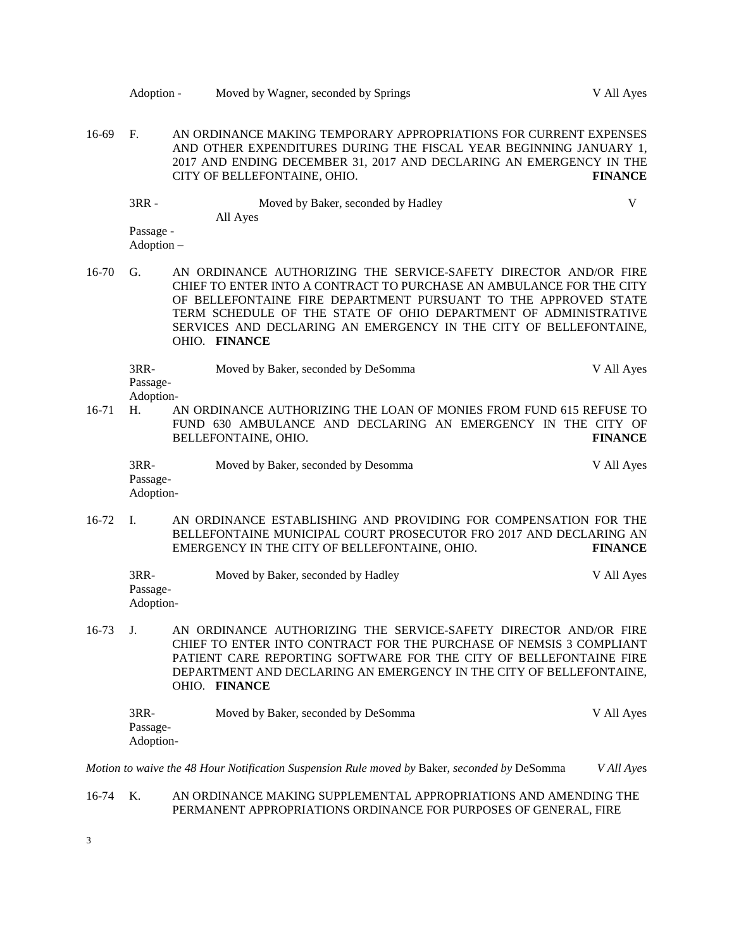16-69 F. AN ORDINANCE MAKING TEMPORARY APPROPRIATIONS FOR CURRENT EXPENSES AND OTHER EXPENDITURES DURING THE FISCAL YEAR BEGINNING JANUARY 1, 2017 AND ENDING DECEMBER 31, 2017 AND DECLARING AN EMERGENCY IN THE CITY OF BELLEFONTAINE, OHIO. **FINANCE** 3RR - Moved by Baker, seconded by Hadley V All Ayes Passage - Adoption – 16-70 G. AN ORDINANCE AUTHORIZING THE SERVICE-SAFETY DIRECTOR AND/OR FIRE CHIEF TO ENTER INTO A CONTRACT TO PURCHASE AN AMBULANCE FOR THE CITY OF BELLEFONTAINE FIRE DEPARTMENT PURSUANT TO THE APPROVED STATE TERM SCHEDULE OF THE STATE OF OHIO DEPARTMENT OF ADMINISTRATIVE SERVICES AND DECLARING AN EMERGENCY IN THE CITY OF BELLEFONTAINE, OHIO. **FINANCE** 3RR- Moved by Baker, seconded by DeSomma V All Ayes Passage-Adoption-16-71 H. AN ORDINANCE AUTHORIZING THE LOAN OF MONIES FROM FUND 615 REFUSE TO FUND 630 AMBULANCE AND DECLARING AN EMERGENCY IN THE CITY OF BELLEFONTAINE OHIO. BELLEFONTAINE, OHIO. 3RR- Moved by Baker, seconded by Desomma V All Ayes Passage-Adoption-16-72 I. AN ORDINANCE ESTABLISHING AND PROVIDING FOR COMPENSATION FOR THE BELLEFONTAINE MUNICIPAL COURT PROSECUTOR FRO 2017 AND DECLARING AN EMERGENCY IN THE CITY OF BELLEFONTAINE, OHIO. **FINANCE** 3RR- Moved by Baker, seconded by Hadley V All Ayes Passage-Adoption-16-73 J. AN ORDINANCE AUTHORIZING THE SERVICE-SAFETY DIRECTOR AND/OR FIRE CHIEF TO ENTER INTO CONTRACT FOR THE PURCHASE OF NEMSIS 3 COMPLIANT PATIENT CARE REPORTING SOFTWARE FOR THE CITY OF BELLEFONTAINE FIRE DEPARTMENT AND DECLARING AN EMERGENCY IN THE CITY OF BELLEFONTAINE, OHIO. **FINANCE** 3RR- Moved by Baker, seconded by DeSomma V All Ayes Passage-Adoption-*Motion to waive the 48 Hour Notification Suspension Rule moved by* Baker, *seconded by* DeSomma *V All Aye*s

Adoption - Moved by Wagner, seconded by Springs V All Ayes

# 16-74 K. AN ORDINANCE MAKING SUPPLEMENTAL APPROPRIATIONS AND AMENDING THE PERMANENT APPROPRIATIONS ORDINANCE FOR PURPOSES OF GENERAL, FIRE

3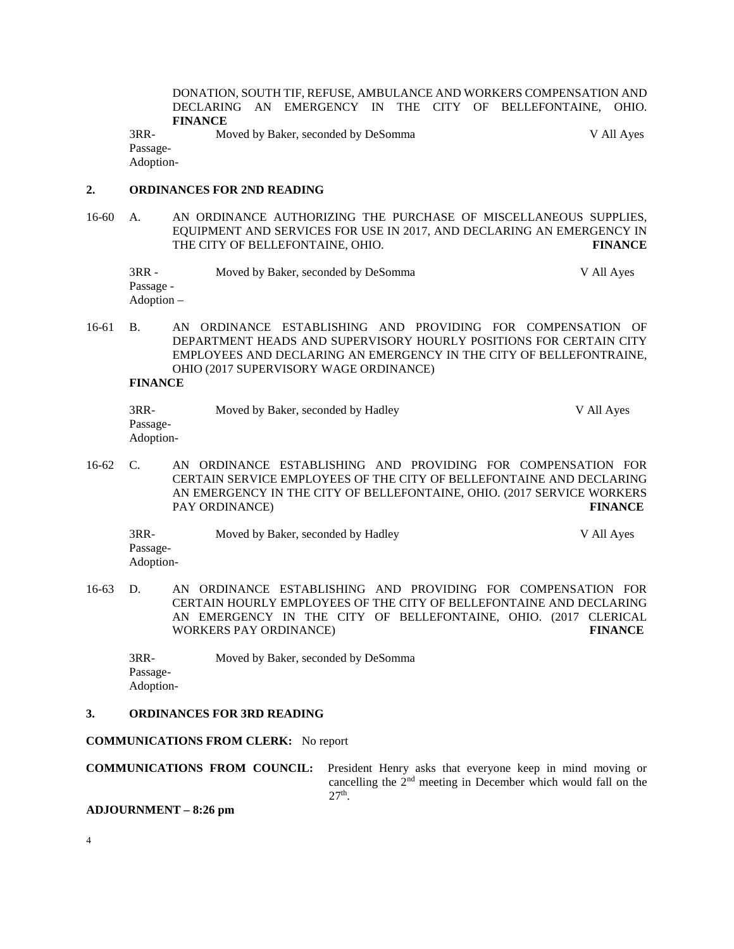DONATION, SOUTH TIF, REFUSE, AMBULANCE AND WORKERS COMPENSATION AND DECLARING AN EMERGENCY IN THE CITY OF BELLEFONTAINE, OHIO. **FINANCE**

3RR- Moved by Baker, seconded by DeSomma V All Ayes Passage-

Adoption-

## **2. ORDINANCES FOR 2ND READING**

- 16-60 A. AN ORDINANCE AUTHORIZING THE PURCHASE OF MISCELLANEOUS SUPPLIES, EQUIPMENT AND SERVICES FOR USE IN 2017, AND DECLARING AN EMERGENCY IN THE CITY OF BELLEFONTAINE, OHIO. **FINANCE**
	- 3RR Moved by Baker, seconded by DeSomma V All Ayes Passage - Adoption –

16-61 B. AN ORDINANCE ESTABLISHING AND PROVIDING FOR COMPENSATION OF DEPARTMENT HEADS AND SUPERVISORY HOURLY POSITIONS FOR CERTAIN CITY EMPLOYEES AND DECLARING AN EMERGENCY IN THE CITY OF BELLEFONTRAINE, OHIO (2017 SUPERVISORY WAGE ORDINANCE)

**FINANCE**

| 3RR-      | Moved by Baker, seconded by Hadley | V All Ayes |
|-----------|------------------------------------|------------|
| Passage-  |                                    |            |
| Adoption- |                                    |            |

16-62 C. AN ORDINANCE ESTABLISHING AND PROVIDING FOR COMPENSATION FOR CERTAIN SERVICE EMPLOYEES OF THE CITY OF BELLEFONTAINE AND DECLARING AN EMERGENCY IN THE CITY OF BELLEFONTAINE, OHIO. (2017 SERVICE WORKERS PAY ORDINANCE) **FINANCE**

3RR- Moved by Baker, seconded by Hadley V All Ayes Passage-Adoption-

16-63 D. AN ORDINANCE ESTABLISHING AND PROVIDING FOR COMPENSATION FOR CERTAIN HOURLY EMPLOYEES OF THE CITY OF BELLEFONTAINE AND DECLARING AN EMERGENCY IN THE CITY OF BELLEFONTAINE, OHIO. (2017 CLERICAL WORKERS PAY ORDINANCE) **FINANCE**

3RR- Moved by Baker, seconded by DeSomma Passage-Adoption-

# **3. ORDINANCES FOR 3RD READING**

**COMMUNICATIONS FROM CLERK:** No report

**COMMUNICATIONS FROM COUNCIL:** President Henry asks that everyone keep in mind moving or cancelling the 2nd meeting in December which would fall on the  $27<sup>th</sup>$ .

**ADJOURNMENT – 8:26 pm**

4